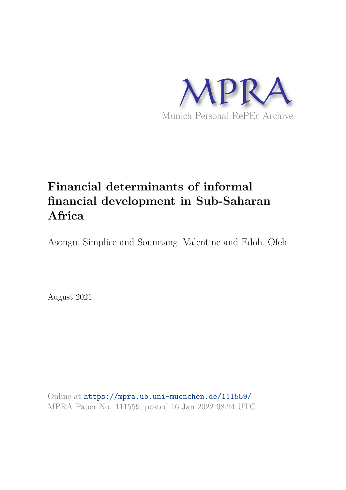

# **Financial determinants of informal financial development in Sub-Saharan Africa**

Asongu, Simplice and Soumtang, Valentine and Edoh, Ofeh

August 2021

Online at https://mpra.ub.uni-muenchen.de/111559/ MPRA Paper No. 111559, posted 16 Jan 2022 08:24 UTC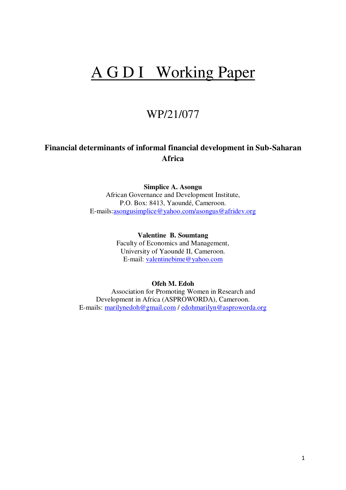# A G D I Working Paper

# WP/21/077

# **Financial determinants of informal financial development in Sub-Saharan Africa**

**Simplice A. Asongu** 

African Governance and Development Institute, P.O. Box: 8413, Yaoundé, Cameroon. E-mails[:asongusimplice@yahoo.com/asongus@afridev.org](mailto:asongusimplice@yahoo.com)

> **Valentine B. Soumtang**  Faculty of Economics and Management, University of Yaoundé II, Cameroon. E-mail: [valentinebime@yahoo.com](mailto:valentinebime@yahoo.com)

## **Ofeh M. Edoh**

Association for Promoting Women in Research and Development in Africa (ASPROWORDA), Cameroon. E-mails: [marilynedoh@gmail.com](mailto:marilynedoh@gmail.com) / [edohmarilyn@asproworda.org](mailto:edohmarilyn@asproworda.org)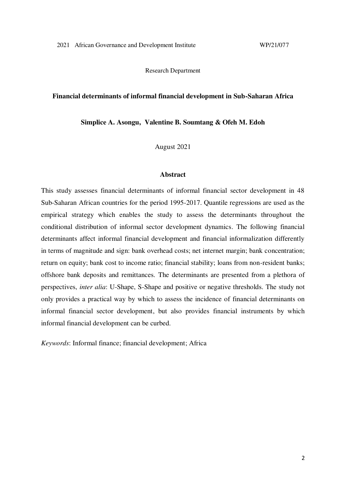Research Department

#### **Financial determinants of informal financial development in Sub-Saharan Africa**

**Simplice A. Asongu, Valentine B. Soumtang & Ofeh M. Edoh** 

August 2021

#### **Abstract**

This study assesses financial determinants of informal financial sector development in 48 Sub-Saharan African countries for the period 1995-2017. Quantile regressions are used as the empirical strategy which enables the study to assess the determinants throughout the conditional distribution of informal sector development dynamics. The following financial determinants affect informal financial development and financial informalization differently in terms of magnitude and sign: bank overhead costs; net internet margin; bank concentration; return on equity; bank cost to income ratio; financial stability; loans from non-resident banks; offshore bank deposits and remittances. The determinants are presented from a plethora of perspectives, *inter alia*: U-Shape, S-Shape and positive or negative thresholds. The study not only provides a practical way by which to assess the incidence of financial determinants on informal financial sector development, but also provides financial instruments by which informal financial development can be curbed.

*Keywords*: Informal finance; financial development; Africa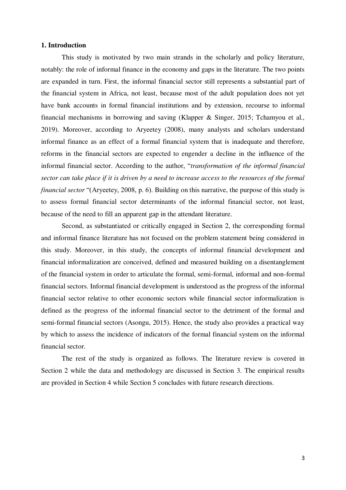#### **1. Introduction**

This study is motivated by two main strands in the scholarly and policy literature, notably: the role of informal finance in the economy and gaps in the literature. The two points are expanded in turn. First, the informal financial sector still represents a substantial part of the financial system in Africa, not least, because most of the adult population does not yet have bank accounts in formal financial institutions and by extension, recourse to informal financial mechanisms in borrowing and saving (Klapper & Singer, 2015; Tchamyou et al., 2019). Moreover, according to Aryeetey (2008), many analysts and scholars understand informal finance as an effect of a formal financial system that is inadequate and therefore, reforms in the financial sectors are expected to engender a decline in the influence of the informal financial sector. According to the author, "*transformation of the informal financial sector can take place if it is driven by a need to increase access to the resources of the formal financial sector* "(Aryeetey, 2008, p. 6). Building on this narrative, the purpose of this study is to assess formal financial sector determinants of the informal financial sector, not least, because of the need to fill an apparent gap in the attendant literature.

Second, as substantiated or critically engaged in Section 2, the corresponding formal and informal finance literature has not focused on the problem statement being considered in this study. Moreover, in this study, the concepts of informal financial development and financial informalization are conceived, defined and measured building on a disentanglement of the financial system in order to articulate the formal, semi-formal, informal and non-formal financial sectors. Informal financial development is understood as the progress of the informal financial sector relative to other economic sectors while financial sector informalization is defined as the progress of the informal financial sector to the detriment of the formal and semi-formal financial sectors (Asongu, 2015). Hence, the study also provides a practical way by which to assess the incidence of indicators of the formal financial system on the informal financial sector.

 The rest of the study is organized as follows. The literature review is covered in Section 2 while the data and methodology are discussed in Section 3. The empirical results are provided in Section 4 while Section 5 concludes with future research directions.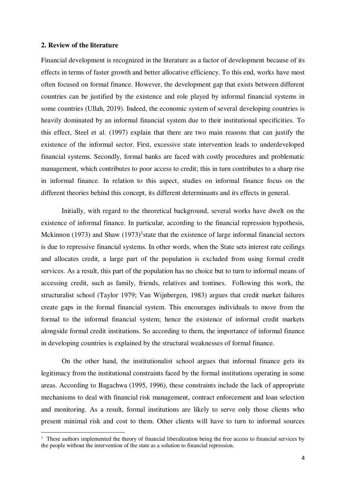#### **2. Review of the literature**

 $\overline{a}$ 

Financial development is recognized in the literature as a factor of development because of its effects in terms of faster growth and better allocative efficiency. To this end, works have most often focused on formal finance. However, the development gap that exists between different countries can be justified by the existence and role played by informal financial systems in some countries (Ullah, 2019). Indeed, the economic system of several developing countries is heavily dominated by an informal financial system due to their institutional specificities. To this effect, Steel et al. (1997) explain that there are two main reasons that can justify the existence of the informal sector. First, excessive state intervention leads to underdeveloped financial systems. Secondly, formal banks are faced with costly procedures and problematic management, which contributes to poor access to credit; this in turn contributes to a sharp rise in informal finance. In relation to this aspect, studies on informal finance focus on the different theories behind this concept, its different determinants and its effects in general.

Initially, with regard to the theoretical background, several works have dwelt on the existence of informal finance. In particular, according to the financial repression hypothesis, Mckinnon (1973) and Shaw  $(1973)^{1}$ state that the existence of large informal financial sectors is due to repressive financial systems. In other words, when the State sets interest rate ceilings and allocates credit, a large part of the population is excluded from using formal credit services. As a result, this part of the population has no choice but to turn to informal means of accessing credit, such as family, friends, relatives and tontines. Following this work, the structuralist school (Taylor 1979; Van Wijnbergen, 1983) argues that credit market failures create gaps in the formal financial system. This encourages individuals to move from the formal to the informal financial system; hence the existence of informal credit markets alongside formal credit institutions. So according to them, the importance of informal finance in developing countries is explained by the structural weaknesses of formal finance.

On the other hand, the institutionalist school argues that informal finance gets its legitimacy from the institutional constraints faced by the formal institutions operating in some areas. According to Bagachwa (1995, 1996), these constraints include the lack of appropriate mechanisms to deal with financial risk management, contract enforcement and loan selection and monitoring. As a result, formal institutions are likely to serve only those clients who present minimal risk and cost to them. Other clients will have to turn to informal sources

<sup>&</sup>lt;sup>1</sup> These authors implemented the theory of financial liberalization being the free access to financial services by the people without the intervention of the state as a solution to financial repression.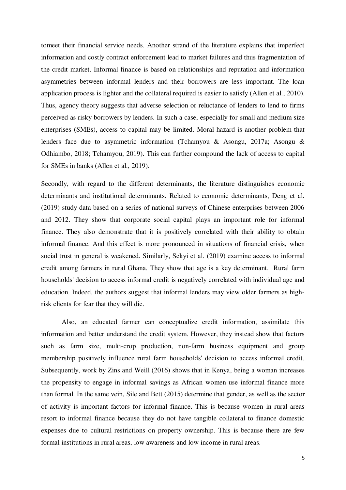tomeet their financial service needs. Another strand of the literature explains that imperfect information and costly contract enforcement lead to market failures and thus fragmentation of the credit market. Informal finance is based on relationships and reputation and information asymmetries between informal lenders and their borrowers are less important. The loan application process is lighter and the collateral required is easier to satisfy (Allen et al., 2010). Thus, agency theory suggests that adverse selection or reluctance of lenders to lend to firms perceived as risky borrowers by lenders. In such a case, especially for small and medium size enterprises (SMEs), access to capital may be limited. Moral hazard is another problem that lenders face due to asymmetric information (Tchamyou & Asongu, 2017a; Asongu & Odhiambo, 2018; Tchamyou, 2019). This can further compound the lack of access to capital for SMEs in banks (Allen et al., 2019).

 Secondly, with regard to the different determinants, the literature distinguishes economic determinants and institutional determinants. Related to economic determinants, Deng et al. (2019) study data based on a series of national surveys of Chinese enterprises between 2006 and 2012. They show that corporate social capital plays an important role for informal finance. They also demonstrate that it is positively correlated with their ability to obtain informal finance. And this effect is more pronounced in situations of financial crisis, when social trust in general is weakened. Similarly, Sekyi et al. (2019) examine access to informal credit among farmers in rural Ghana. They show that age is a key determinant. Rural farm households' decision to access informal credit is negatively correlated with individual age and education. Indeed, the authors suggest that informal lenders may view older farmers as highrisk clients for fear that they will die.

Also, an educated farmer can conceptualize credit information, assimilate this information and better understand the credit system. However, they instead show that factors such as farm size, multi-crop production, non-farm business equipment and group membership positively influence rural farm households' decision to access informal credit. Subsequently, work by Zins and Weill (2016) shows that in Kenya, being a woman increases the propensity to engage in informal savings as African women use informal finance more than formal. In the same vein, Sile and Bett (2015) determine that gender, as well as the sector of activity is important factors for informal finance. This is because women in rural areas resort to informal finance because they do not have tangible collateral to finance domestic expenses due to cultural restrictions on property ownership. This is because there are few formal institutions in rural areas, low awareness and low income in rural areas.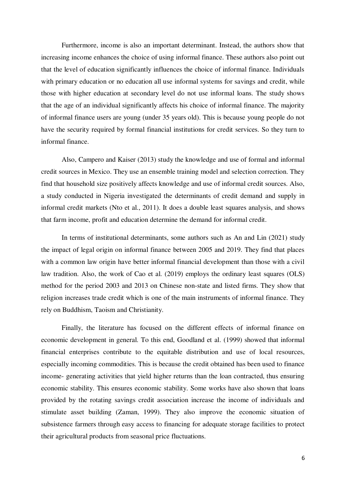Furthermore, income is also an important determinant. Instead, the authors show that increasing income enhances the choice of using informal finance. These authors also point out that the level of education significantly influences the choice of informal finance. Individuals with primary education or no education all use informal systems for savings and credit, while those with higher education at secondary level do not use informal loans. The study shows that the age of an individual significantly affects his choice of informal finance. The majority of informal finance users are young (under 35 years old). This is because young people do not have the security required by formal financial institutions for credit services. So they turn to informal finance.

Also, Campero and Kaiser (2013) study the knowledge and use of formal and informal credit sources in Mexico. They use an ensemble training model and selection correction. They find that household size positively affects knowledge and use of informal credit sources. Also, a study conducted in Nigeria investigated the determinants of credit demand and supply in informal credit markets (Nto et al., 2011). It does a double least squares analysis, and shows that farm income, profit and education determine the demand for informal credit.

In terms of institutional determinants, some authors such as An and Lin (2021) study the impact of legal origin on informal finance between 2005 and 2019. They find that places with a common law origin have better informal financial development than those with a civil law tradition. Also, the work of Cao et al. (2019) employs the ordinary least squares (OLS) method for the period 2003 and 2013 on Chinese non-state and listed firms. They show that religion increases trade credit which is one of the main instruments of informal finance. They rely on Buddhism, Taoism and Christianity.

Finally, the literature has focused on the different effects of informal finance on economic development in general. To this end, Goodland et al. (1999) showed that informal financial enterprises contribute to the equitable distribution and use of local resources, especially incoming commodities. This is because the credit obtained has been used to finance income- generating activities that yield higher returns than the loan contracted, thus ensuring economic stability. This ensures economic stability. Some works have also shown that loans provided by the rotating savings credit association increase the income of individuals and stimulate asset building (Zaman, 1999). They also improve the economic situation of subsistence farmers through easy access to financing for adequate storage facilities to protect their agricultural products from seasonal price fluctuations.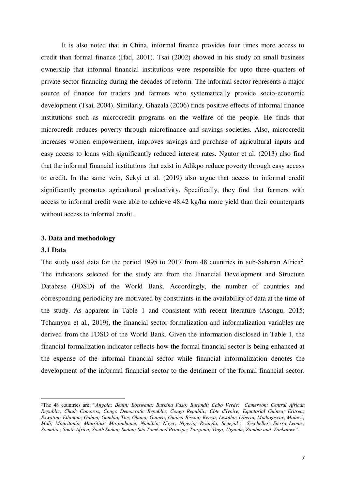It is also noted that in China, informal finance provides four times more access to credit than formal finance (Ifad, 2001). Tsai (2002) showed in his study on small business ownership that informal financial institutions were responsible for upto three quarters of private sector financing during the decades of reform. The informal sector represents a major source of finance for traders and farmers who systematically provide socio-economic development (Tsai, 2004). Similarly, Ghazala (2006) finds positive effects of informal finance institutions such as microcredit programs on the welfare of the people. He finds that microcredit reduces poverty through microfinance and savings societies. Also, microcredit increases women empowerment, improves savings and purchase of agricultural inputs and easy access to loans with significantly reduced interest rates. Ngutor et al. (2013) also find that the informal financial institutions that exist in Adikpo reduce poverty through easy access to credit. In the same vein, Sekyi et al. (2019) also argue that access to informal credit significantly promotes agricultural productivity. Specifically, they find that farmers with access to informal credit were able to achieve 48.42 kg/ha more yield than their counterparts without access to informal credit.

#### **3. Data and methodology**

#### **3.1 Data**

 $\overline{a}$ 

The study used data for the period 1995 to 2017 from 48 countries in sub-Saharan Africa<sup>2</sup>. The indicators selected for the study are from the Financial Development and Structure Database (FDSD) of the World Bank. Accordingly, the number of countries and corresponding periodicity are motivated by constraints in the availability of data at the time of the study. As apparent in Table 1 and consistent with recent literature (Asongu, 2015; Tchamyou et al., 2019), the financial sector formalization and informalization variables are derived from the FDSD of the World Bank. Given the information disclosed in Table 1, the financial formalization indicator reflects how the formal financial sector is being enhanced at the expense of the informal financial sector while financial informalization denotes the development of the informal financial sector to the detriment of the formal financial sector.

<sup>2</sup>The 48 countries are: "*Angola; Benin; Botswana; Burkina Faso; Burundi; Cabo Verde; Cameroon; Central African Republic; Chad; Comoros; Congo Democratic Republic; Congo Republic; Côte d'Ivoire; Equatorial Guinea; Eritrea; Eswatini; Ethiopia; Gabon; Gambia, The; Ghana; Guinea; Guinea-Bissau; Kenya; Lesotho; Liberia; Madagascar; Malawi; Mali; Mauritania; Mauritius; Mozambique; Namibia; Niger; Nigeria; Rwanda; Senegal ; Seychelles; Sierra Leone ; Somalia ; South Africa; South Sudan; Sudan; São Tomé and Principe; Tanzania; Togo; Uganda; Zambia and Zimbabwe*".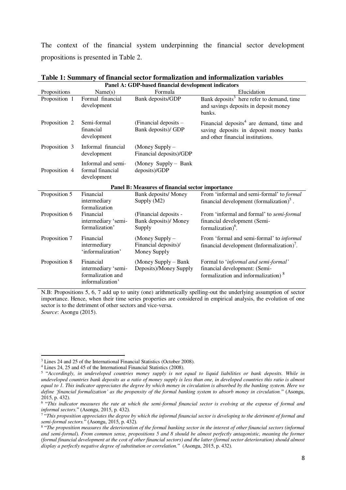The context of the financial system underpinning the financial sector development propositions is presented in Table 2.

| Panel A: GDP-based financial development indicators |                                                                           |                                                           |                                                                                                                                     |  |  |  |  |  |
|-----------------------------------------------------|---------------------------------------------------------------------------|-----------------------------------------------------------|-------------------------------------------------------------------------------------------------------------------------------------|--|--|--|--|--|
| Propositions                                        | Name(s)                                                                   | Formula                                                   | Elucidation                                                                                                                         |  |  |  |  |  |
| Proposition 1                                       | Formal financial<br>development                                           | Bank deposits/GDP                                         | Bank deposits <sup>3</sup> here refer to demand, time<br>and savings deposits in deposit money<br>banks.                            |  |  |  |  |  |
| Proposition 2                                       | Semi-formal<br>financial<br>development                                   | (Financial deposits $-$<br>Bank deposits)/ GDP            | Financial deposits <sup>4</sup> are demand, time and<br>saving deposits in deposit money banks<br>and other financial institutions. |  |  |  |  |  |
| Proposition 3                                       | Informal financial<br>development                                         | (Money Supply -<br>Financial deposits)/GDP                |                                                                                                                                     |  |  |  |  |  |
| Proposition 4                                       | Informal and semi-<br>formal financial<br>development                     | (Money Supply - Bank<br>deposits)/GDP                     |                                                                                                                                     |  |  |  |  |  |
|                                                     |                                                                           | Panel B: Measures of financial sector importance          |                                                                                                                                     |  |  |  |  |  |
| Proposition 5                                       | Financial<br>intermediary<br>formalization                                | Bank deposits/ Money<br>Supply (M2)                       | From 'informal and semi-formal' to <i>formal</i><br>financial development (formalization) $5$ .                                     |  |  |  |  |  |
| Proposition 6                                       | Financial<br>intermediary 'semi-<br>formalization'                        | (Financial deposits -<br>Bank deposits)/ Money<br>Supply  | From 'informal and formal' to semi-formal<br>financial development (Semi-<br>formalization) <sup>6</sup> .                          |  |  |  |  |  |
| Proposition 7                                       | Financial<br>intermediary<br>'informalization'                            | (Money Supply $-$<br>Financial deposits)/<br>Money Supply | From 'formal and semi-formal' to informal<br>financial development (Informalization)'.                                              |  |  |  |  |  |
| Proposition 8                                       | Financial<br>intermediary 'semi-<br>formalization and<br>informalization' | (Money Supply – Bank<br>Deposits)/Money Supply            | Formal to 'informal and semi-formal'<br>financial development: (Semi-<br>formalization and informalization) <sup>8</sup>            |  |  |  |  |  |

**Table 1: Summary of financial sector formalization and informalization variables** 

N.B: Propositions 5, 6, 7 add up to unity (one) arithmetically spelling-out the underlying assumption of sector importance. Hence, when their time series properties are considered in empirical analysis, the evolution of one sector is to the detriment of other sectors and vice-versa. *Source*: Asongu (2015).

 $\overline{a}$ 

<sup>3</sup> Lines 24 and 25 of the International Financial Statistics (October 2008).

<sup>4</sup> Lines 24, 25 and 45 of the International Financial Statistics (2008).

<sup>5</sup> "*Accordingly, in undeveloped countries money supply is not equal to liquid liabilities or bank deposits. While in undeveloped countries bank deposits as a ratio of money supply is less than one, in developed countries this ratio is almost equal to 1. This indicator appreciates the degree by which money in circulation is absorbed by the banking system. Here we define 'financial formalization' as the propensity of the formal banking system to absorb money in circulation.*" (Asongu,  $2015$ , p. 432).

<sup>6</sup> "*This indicator measures the rate at which the semi-formal financial sector is evolving at the expense of formal and informal sectors.*" (Asongu, 2015, p. 432).

<sup>7</sup> "*This proposition appreciates the degree by which the informal financial sector is developing to the detriment of formal and semi-formal sectors.*" (Asongu, 2015, p. 432).

<sup>&</sup>lt;sup>8</sup> "The proposition measures the deterioration of the formal banking sector in the interest of other financial sectors (informal *and semi-formal). From common sense, propositions 5 and 8 should be almost perfectly antagonistic, meaning the former (formal financial development at the cost of other financial sectors) and the latter (formal sector deterioration) should almost display a perfectly negative degree of substitution or correlation.*" (Asongu, 2015, p. 432).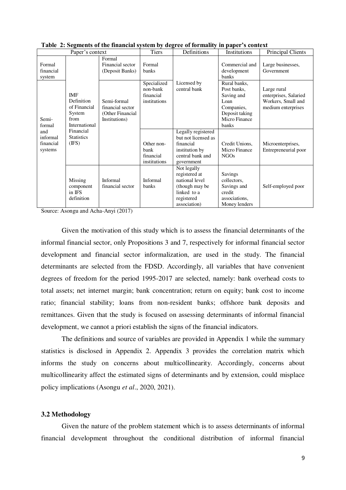| Paper's context                         |                                                                             | <b>Tiers</b>                                                         | Definitions                                            | Institutions                                                                                                  | Principal Clients                                                                                           |                                                                                  |
|-----------------------------------------|-----------------------------------------------------------------------------|----------------------------------------------------------------------|--------------------------------------------------------|---------------------------------------------------------------------------------------------------------------|-------------------------------------------------------------------------------------------------------------|----------------------------------------------------------------------------------|
| Formal<br>financial<br>system           |                                                                             | Formal<br>Financial sector<br>(Deposit Banks)                        | Formal<br>banks                                        |                                                                                                               | Commercial and<br>development<br><b>banks</b>                                                               | Large businesses,<br>Government                                                  |
| Semi-<br>formal                         | <b>IMF</b><br>Definition<br>of Financial<br>System<br>from<br>International | Semi-formal<br>financial sector<br>(Other Financial<br>Institutions) | Specialized<br>non-bank<br>financial<br>institutions   | Licensed by<br>central bank                                                                                   | Rural banks.<br>Post banks,<br>Saving and<br>Loan<br>Companies,<br>Deposit taking<br>Micro Finance<br>banks | Large rural<br>enterprises, Salaried<br>Workers, Small and<br>medium enterprises |
| and<br>informal<br>financial<br>systems | Financial<br><b>Statistics</b><br>(IFS)                                     |                                                                      | Other non-<br><b>bank</b><br>financial<br>institutions | Legally registered<br>but not licensed as<br>financial<br>institution by<br>central bank and<br>government    | Credit Unions,<br>Micro Finance<br><b>NGOs</b>                                                              | Microenterprises,<br>Entrepreneurial poor                                        |
|                                         | Missing<br>component<br>in IFS<br>definition                                | <b>Informal</b><br>financial sector                                  | <b>Informal</b><br>banks                               | Not legally<br>registered at<br>national level<br>(though may be<br>linked to a<br>registered<br>association) | Savings<br>collectors,<br>Savings and<br>credit<br>associations,<br>Money lenders                           | Self-employed poor                                                               |

**Table 2: Segments of the financial system by degree of formality in paper's context** 

Source: Asongu and Acha-Anyi (2017)

Given the motivation of this study which is to assess the financial determinants of the informal financial sector, only Propositions 3 and 7, respectively for informal financial sector development and financial sector informalization, are used in the study. The financial determinants are selected from the FDSD. Accordingly, all variables that have convenient degrees of freedom for the period 1995-2017 are selected, namely: bank overhead costs to total assets; net internet margin; bank concentration; return on equity; bank cost to income ratio; financial stability; loans from non-resident banks; offshore bank deposits and remittances. Given that the study is focused on assessing determinants of informal financial development, we cannot a priori establish the signs of the financial indicators.

 The definitions and source of variables are provided in Appendix 1 while the summary statistics is disclosed in Appendix 2. Appendix 3 provides the correlation matrix which informs the study on concerns about multicollinearity. Accordingly, concerns about multicollinearity affect the estimated signs of determinants and by extension, could misplace policy implications (Asongu *et al*., 2020, 2021).

#### **3.2 Methodology**

Given the nature of the problem statement which is to assess determinants of informal financial development throughout the conditional distribution of informal financial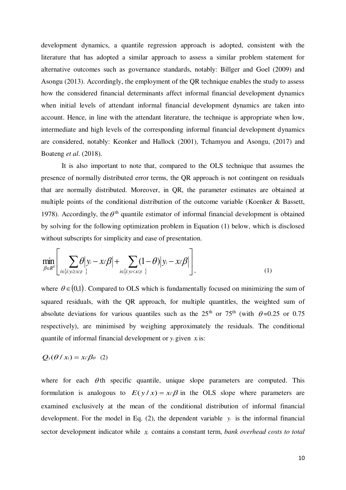development dynamics, a quantile regression approach is adopted, consistent with the literature that has adopted a similar approach to assess a similar problem statement for alternative outcomes such as governance standards, notably: Billger and Goel (2009) and Asongu (2013). Accordingly, the employment of the QR technique enables the study to assess how the considered financial determinants affect informal financial development dynamics when initial levels of attendant informal financial development dynamics are taken into account. Hence, in line with the attendant literature, the technique is appropriate when low, intermediate and high levels of the corresponding informal financial development dynamics are considered, notably: Keonker and Hallock (2001), Tchamyou and Asongu, (2017) and Boateng *et al*. (2018).

 It is also important to note that, compared to the OLS technique that assumes the presence of normally distributed error terms, the QR approach is not contingent on residuals that are normally distributed. Moreover, in QR, the parameter estimates are obtained at multiple points of the conditional distribution of the outcome variable (Koenker & Bassett, 1978). Accordingly, the  $\theta$ <sup>th</sup> quantile estimator of informal financial development is obtained by solving for the following optimization problem in Equation (1) below, which is disclosed without subscripts for simplicity and ease of presentation.

$$
\min_{\beta \in R^k} \left[ \sum_{i \in \{i: y_i \geq x \mid \beta\}} \theta \middle| y_i - x_i \beta \middle| + \sum_{i \in \{i: y_i < x \mid \beta\}} (1 - \theta) \middle| y_i - x_i \beta \right],\tag{1}
$$

where  $\theta \in (0,1)$ . Compared to OLS which is fundamentally focused on minimizing the sum of squared residuals, with the QR approach, for multiple quantitles, the weighted sum of absolute deviations for various quantiles such as the  $25<sup>th</sup>$  or  $75<sup>th</sup>$  (with  $\theta = 0.25$  or 0.75 respectively), are minimised by weighing approximately the residuals. The conditional quantile of informal financial development or  $y_i$  given  $x_i$  is:

### $Q_y(\theta \mid x_i) = x_i \beta_{\theta}$  (2)

where for each  $\theta$ th specific quantile, unique slope parameters are computed. This formulation is analogous to  $E(y/x) = x/\beta$  in the OLS slope where parameters are examined exclusively at the mean of the conditional distribution of informal financial development. For the model in Eq. (2), the dependent variable  $y_i$  is the informal financial sector development indicator while *<sup>x</sup>i* contains a constant term, *bank overhead costs to total*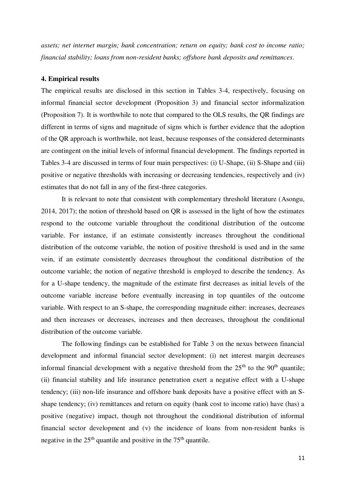*assets; net internet margin; bank concentration; return on equity; bank cost to income ratio; financial stability; loans from non-resident banks; offshore bank deposits and remittances*.

#### **4. Empirical results**

The empirical results are disclosed in this section in Tables 3-4, respectively, focusing on informal financial sector development (Proposition 3) and financial sector informalization (Proposition 7). It is worthwhile to note that compared to the OLS results, the QR findings are different in terms of signs and magnitude of signs which is further evidence that the adoption of the QR approach is worthwhile, not least, because responses of the considered determinants are contingent on the initial levels of informal financial development. The findings reported in Tables 3-4 are discussed in terms of four main perspectives: (i) U-Shape, (ii) S-Shape and (iii) positive or negative thresholds with increasing or decreasing tendencies, respectively and (iv) estimates that do not fall in any of the first-three categories.

It is relevant to note that consistent with complementary threshold literature (Asongu, 2014, 2017); the notion of threshold based on QR is assessed in the light of how the estimates respond to the outcome variable throughout the conditional distribution of the outcome variable. For instance, if an estimate consistently increases throughout the conditional distribution of the outcome variable, the notion of positive threshold is used and in the same vein, if an estimate consistently decreases throughout the conditional distribution of the outcome variable; the notion of negative threshold is employed to describe the tendency. As for a U-shape tendency, the magnitude of the estimate first decreases as initial levels of the outcome variable increase before eventually increasing in top quantiles of the outcome variable. With respect to an S-shape, the corresponding magnitude either: increases, decreases and then increases or decreases, increases and then decreases, throughout the conditional distribution of the outcome variable.

The following findings can be established for Table 3 on the nexus between financial development and informal financial sector development: (i) net interest margin decreases informal financial development with a negative threshold from the  $25<sup>th</sup>$  to the  $90<sup>th</sup>$  quantile; (ii) financial stability and life insurance penetration exert a negative effect with a U-shape tendency; (iii) non-life insurance and offshore bank deposits have a positive effect with an Sshape tendency; (iv) remittances and return on equity (bank cost to income ratio) have (has) a positive (negative) impact, though not throughout the conditional distribution of informal financial sector development and (v) the incidence of loans from non-resident banks is negative in the  $25<sup>th</sup>$  quantile and positive in the  $75<sup>th</sup>$  quantile.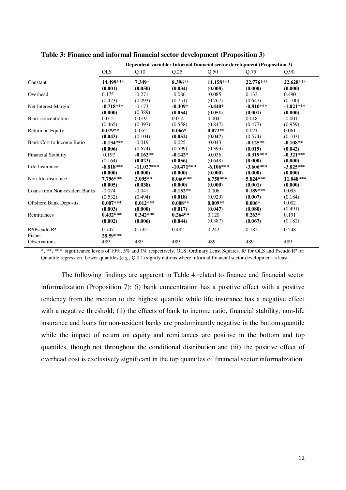|                               | Dependent variable: Informal financial sector development (Proposition 3) |              |              |             |             |             |  |
|-------------------------------|---------------------------------------------------------------------------|--------------|--------------|-------------|-------------|-------------|--|
|                               | <b>OLS</b>                                                                | Q.10         | Q.25         | Q.50        | Q.75        | Q.90        |  |
| Constant                      | 14.499***                                                                 | 7.349*       | 8.396**      | 11.158***   | 22.776***   | 22.628***   |  |
|                               | (0.001)                                                                   | (0.050)      | (0.034)      | (0.008)     | (0.000)     | (0.000)     |  |
| Overhead                      | 0.175                                                                     | $-0.271$     | $-0.086$     | $-0.085$    | 0.133       | 0.490       |  |
|                               | (0.423)                                                                   | (0.293)      | (0.751)      | (0.767)     | (0.647)     | (0.100)     |  |
| Net Interest Margin           | $-0.718***$                                                               | $-0.173$     | $-0.409*$    | $-0.440*$   | $-0.810***$ | $-1.021***$ |  |
|                               | (0.000)                                                                   | (0.389)      | (0.054)      | (0.051)     | (0.001)     | (0.000)     |  |
| <b>Bank</b> concentration     | 0.015                                                                     | 0.019        | 0.014        | 0.004       | 0.018       | $-0.001$    |  |
|                               | (0.465)                                                                   | (0.397)      | (0.558)      | (0.847)     | (0.477)     | (0.959)     |  |
| Return on Equity              | $0.079**$                                                                 | 0.052        | $0.066*$     | $0.072**$   | 0.021       | 0.061       |  |
|                               | (0.043)                                                                   | (0.104)      | (0.052)      | (0.047)     | (0.574)     | (0.103)     |  |
| Bank Cost to Income Ratio     | $-0.134***$                                                               | $-0.019$     | $-0.025$     | $-0.043$    | $-0.125**$  | $-0.108**$  |  |
|                               | (0.006)                                                                   | (0.674)      | (0.599)      | (0.393)     | (0.019)     | (0.042)     |  |
| <b>Financial Stability</b>    | 0.197                                                                     | $-0.162**$   | $-0.142*$    | $-0.036$    | $-0.319***$ | $-0.321***$ |  |
|                               | (0.164)                                                                   | (0.023)      | (0.056)      | (0.648)     | (0.000)     | (0.000)     |  |
| Life Insurance                | $-8.818***$                                                               | $-11.027***$ | $-10.471***$ | $-6.106***$ | $-3.606***$ | $-3.825***$ |  |
|                               | (0.000)                                                                   | (0.000)      | (0.000)      | (0.000)     | (0.000)     | (0.000)     |  |
| Non-life insurance            | 7.796***                                                                  | $3.095**$    | 8.060***     | $6.750***$  | 5.824***    | 11.048***   |  |
|                               | (0.005)                                                                   | (0.038)      | (0.000)      | (0.000)     | (0.001)     | (0.000)     |  |
| Loans from Non-resident Banks | $-0.074$                                                                  | $-0.041$     | $-0.152**$   | 0.006       | $0.189***$  | 0.093       |  |
|                               | (0.532)                                                                   | (0.494)      | (0.018)      | (0.929)     | (0.007)     | (0.184)     |  |
| Offshore Bank Deposits.       | $0.007***$                                                                | $0.012***$   | $0.008**$    | $0.009**$   | $0.006*$    | 0.002       |  |
|                               | (0.003)                                                                   | (0.000)      | (0.017)      | (0.047)     | (0.080)     | (0.491)     |  |
| Remittances                   | $0.432***$                                                                | $0.342***$   | $0.264**$    | 0.120       | $0.263*$    | 0.191       |  |
|                               | (0.002)                                                                   | (0.006)      | (0.044)      | (0.387)     | (0.067)     | (0.182)     |  |
| $R^2$ /Pseudo $R^2$<br>Fisher | 0.747<br>28.59***                                                         | 0.735        | 0.482        | 0.242       | 0.182       | 0.248       |  |
| Observations                  | 489                                                                       | 489          | 489          | 489         | 489         | 489         |  |

**Table 3: Finance and informal financial sector development (Proposition 3)** 

\*, \*\*, \*\*\*: significance levels of 10%, 5% and 1% respectively. OLS: Ordinary Least Squares. R² for OLS and Pseudo R² for Quantile regression. Lower quantiles (e.g., Q 0.1) signify nations where informal financial sector development is least.

 The following findings are apparent in Table 4 related to finance and financial sector informalization (Proposition 7): (i) bank concentration has a positive effect with a positive tendency from the median to the highest quantile while life insurance has a negative effect with a negative threshold; (ii) the effects of bank to income ratio, financial stability, non-life insurance and loans for non-resident banks are predominantly negative in the bottom quantile while the impact of return on equity and remittances are positive in the bottom and top quantiles, though not throughout the conditional distribution and (iii) the positive effect of overhead cost is exclusively significant in the top quantiles of financial sector informalization.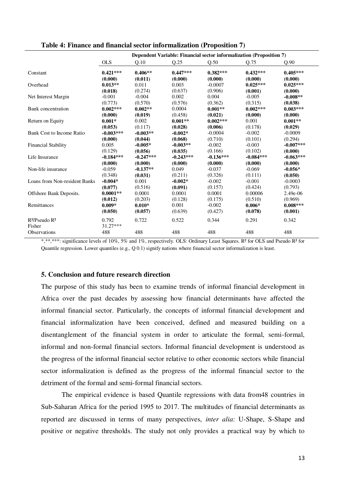|                               |                     |             |             | Dependent Variable: Financial sector informalization (Proposition 7) |             |             |  |  |  |
|-------------------------------|---------------------|-------------|-------------|----------------------------------------------------------------------|-------------|-------------|--|--|--|
|                               | <b>OLS</b>          | Q.10        | Q.25        | Q.50                                                                 | Q.75        | Q.90        |  |  |  |
| Constant                      | $0.421***$          | $0.406**$   | $0.447***$  | $0.382***$                                                           | $0.432***$  | $0.405***$  |  |  |  |
|                               | (0.000)             | (0.011)     | (0.000)     | (0.000)                                                              | (0.000)     | (0.000)     |  |  |  |
| Overhead                      | $0.013**$           | 0.011       | 0.003       | $-0.0007$                                                            | $0.025***$  | $0.025***$  |  |  |  |
|                               | (0.018)             | (0.274)     | (0.637)     | (0.906)                                                              | (0.001)     | (0.000)     |  |  |  |
| Net Interest Margin           | $-0.001$            | $-0.004$    | 0.002       | 0.004                                                                | $-0.005$    | $-0.008**$  |  |  |  |
|                               | (0.773)             | (0.570)     | (0.576)     | (0.362)                                                              | (0.315)     | (0.038)     |  |  |  |
| Bank concentration            | $0.002***$          | $0.002**$   | 0.0004      | $0.001**$                                                            | $0.002***$  | $0.003***$  |  |  |  |
|                               | (0.000)             | (0.019)     | (0.458)     | (0.021)                                                              | (0.000)     | (0.000)     |  |  |  |
| Return on Equity              | $0.001*$            | 0.002       | $0.001**$   | $0.002***$                                                           | 0.001       | $0.001**$   |  |  |  |
|                               | (0.053)             | (0.117)     | (0.028)     | (0.006)                                                              | (0.178)     | (0.029)     |  |  |  |
| Bank Cost to Income Ratio     | $-0.003***$         | $-0.003**$  | $-0.002*$   | $-0.0004$                                                            | $-0.002$    | $-0.0009$   |  |  |  |
|                               | (0.000)             | (0.044)     | (0.068)     | (0.710)                                                              | (0.101)     | (0.294)     |  |  |  |
| <b>Financial Stability</b>    | 0.005               | $-0.005*$   | $-0.003**$  | $-0.002$                                                             | $-0.003$    | $-0.007***$ |  |  |  |
|                               | (0.129)             | (0.056)     | (0.035)     | (0.166)                                                              | (0.102)     | (0.000)     |  |  |  |
| Life Insurance                | $-0.184***$         | $-0.247***$ | $-0.243***$ | $-0.136***$                                                          | $-0.084***$ | $-0.063***$ |  |  |  |
|                               | (0.000)             | (0.000)     | (0.000)     | (0.000)                                                              | (0.000)     | (0.000)     |  |  |  |
| Non-life insurance            | $-0.059$            | $-0.137**$  | 0.049       | $-0.037$                                                             | $-0.069$    | $-0.056*$   |  |  |  |
|                               | (0.348)             | (0.031)     | (0.211)     | (0.326)                                                              | (0.111)     | (0.050)     |  |  |  |
| Loans from Non-resident Banks | $-0.004*$           | 0.001       | $-0.002*$   | $-0.002$                                                             | $-0.001$    | $-0.0003$   |  |  |  |
|                               | (0.077)             | (0.516)     | (0.091)     | (0.157)                                                              | (0.424)     | (0.793)     |  |  |  |
| Offshore Bank Deposits.       | $0.0001**$          | 0.0001      | 0.0001      | 0.0001                                                               | 0.00006     | 2.49e-06    |  |  |  |
|                               | (0.012)             | (0.203)     | (0.128)     | (0.175)                                                              | (0.510)     | (0.969)     |  |  |  |
| Remittances                   | $0.009*$            | $0.010*$    | 0.001       | $-0.002$                                                             | $0.006*$    | $0.008***$  |  |  |  |
|                               | (0.050)             | (0.057)     | (0.639)     | (0.427)                                                              | (0.078)     | (0.001)     |  |  |  |
| $R^2$ /Pseudo $R^2$<br>Fisher | 0.792<br>$31.27***$ | 0.722       | 0.522       | 0.344                                                                | 0.291       | 0.342       |  |  |  |
| <b>Observations</b>           | 488                 | 488         | 488         | 488                                                                  | 488         | 488         |  |  |  |

#### **Table 4: Finance and financial sector informalization (Proposition 7)**

\*,\*\*,\*\*\*: significance levels of 10%, 5% and 1%, respectively. OLS: Ordinary Least Squares. R² for OLS and Pseudo R² for Quantile regression. Lower quantiles (e.g., Q 0.1) signify nations where financial sector informalization is least.

#### **5. Conclusion and future research direction**

The purpose of this study has been to examine trends of informal financial development in Africa over the past decades by assessing how financial determinants have affected the informal financial sector. Particularly, the concepts of informal financial development and financial informalization have been conceived, defined and measured building on a disentanglement of the financial system in order to articulate the formal, semi-formal, informal and non-formal financial sectors. Informal financial development is understood as the progress of the informal financial sector relative to other economic sectors while financial sector informalization is defined as the progress of the informal financial sector to the detriment of the formal and semi-formal financial sectors.

The empirical evidence is based Quantile regressions with data from48 countries in Sub-Saharan Africa for the period 1995 to 2017. The multitudes of financial determinants as reported are discussed in terms of many perspectives, *inter alia*: U-Shape, S-Shape and positive or negative thresholds. The study not only provides a practical way by which to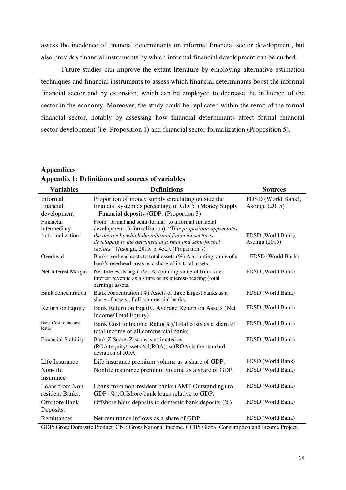assess the incidence of financial determinants on informal financial sector development, but also provides financial instruments by which informal financial development can be curbed.

Future studies can improve the extant literature by employing alternative estimation techniques and financial instruments to assess which financial determinants boost the informal financial sector and by extension, which can be employed to decrease the influence of the sector in the economy. Moreover, the study could be replicated within the remit of the formal financial sector, notably by assessing how financial determinants affect formal financial sector development (i.e. Proposition 1) and financial sector formalization (Proposition 5).

**Appendices Appendix 1: Definitions and sources of variables** 

| Informal<br>Proportion of money supply circulating outside the<br>FDSD (World Bank),<br>financial<br>financial system as percentage of GDP: (Money Supply<br>Asongu (2015)<br>- Financial deposits)/GDP. (Proportion 3)<br>development<br>From 'formal and semi-formal' to informal financial<br>Financial<br>development (Informalization). "This proposition appreciates<br>intermediary<br>'informalization'<br>the degree by which the informal financial sector is<br>FDSD (World Bank),<br>developing to the detriment of formal and semi-formal<br>Asongu (2015)<br>sectors." (Asongu, 2015, p. 432). (Proportion 7)<br>Overhead<br>Bank overhead costs to total assets $(\%)$ . Accounting value of a<br>FDSD (World Bank)<br>bank's overhead costs as a share of its total assets.<br>Net Interest Margin<br>Net Interest Margin (%). Accounting value of bank's net<br>FDSD (World Bank)<br>interest revenue as a share of its interest-bearing (total<br>earning) assets.<br><b>Bank</b> concentration<br>Bank concentration (%). Assets of three largest banks as a<br>FDSD (World Bank)<br>share of assets of all commercial banks. |
|--------------------------------------------------------------------------------------------------------------------------------------------------------------------------------------------------------------------------------------------------------------------------------------------------------------------------------------------------------------------------------------------------------------------------------------------------------------------------------------------------------------------------------------------------------------------------------------------------------------------------------------------------------------------------------------------------------------------------------------------------------------------------------------------------------------------------------------------------------------------------------------------------------------------------------------------------------------------------------------------------------------------------------------------------------------------------------------------------------------------------------------------------|
|                                                                                                                                                                                                                                                                                                                                                                                                                                                                                                                                                                                                                                                                                                                                                                                                                                                                                                                                                                                                                                                                                                                                                  |
|                                                                                                                                                                                                                                                                                                                                                                                                                                                                                                                                                                                                                                                                                                                                                                                                                                                                                                                                                                                                                                                                                                                                                  |
|                                                                                                                                                                                                                                                                                                                                                                                                                                                                                                                                                                                                                                                                                                                                                                                                                                                                                                                                                                                                                                                                                                                                                  |
|                                                                                                                                                                                                                                                                                                                                                                                                                                                                                                                                                                                                                                                                                                                                                                                                                                                                                                                                                                                                                                                                                                                                                  |
|                                                                                                                                                                                                                                                                                                                                                                                                                                                                                                                                                                                                                                                                                                                                                                                                                                                                                                                                                                                                                                                                                                                                                  |
| Return on Equity<br>FDSD (World Bank)<br>Bank Return on Equity. Average Return on Assets (Net)<br>Income/Total Equity)                                                                                                                                                                                                                                                                                                                                                                                                                                                                                                                                                                                                                                                                                                                                                                                                                                                                                                                                                                                                                           |
| <b>Bank Cost to Income</b><br>Bank Cost to Income Ratio( $\%$ ). Total costs as a share of<br>FDSD (World Bank)<br>Ratio<br>total income of all commercial banks.                                                                                                                                                                                                                                                                                                                                                                                                                                                                                                                                                                                                                                                                                                                                                                                                                                                                                                                                                                                |
| <b>Financial Stability</b><br>Bank Z-Score. Z-score is estimated as<br>FDSD (World Bank)<br>(ROA+equity/assets)/sd(ROA); sd(ROA) is the standard<br>deviation of ROA.                                                                                                                                                                                                                                                                                                                                                                                                                                                                                                                                                                                                                                                                                                                                                                                                                                                                                                                                                                            |
| FDSD (World Bank)<br>Life Insurance<br>Life insurance premium volume as a share of GDP.                                                                                                                                                                                                                                                                                                                                                                                                                                                                                                                                                                                                                                                                                                                                                                                                                                                                                                                                                                                                                                                          |
| FDSD (World Bank)<br>Non-life<br>Nonlife insurance premium volume as a share of GDP.<br>insurance                                                                                                                                                                                                                                                                                                                                                                                                                                                                                                                                                                                                                                                                                                                                                                                                                                                                                                                                                                                                                                                |
| Loans from Non-<br>Loans from non-resident banks (AMT Outstanding) to<br>FDSD (World Bank)<br>resident Banks.<br>GDP (%). Offshore bank loans relative to GDP.                                                                                                                                                                                                                                                                                                                                                                                                                                                                                                                                                                                                                                                                                                                                                                                                                                                                                                                                                                                   |
| FDSD (World Bank)<br><b>Offshore Bank</b><br>Offshore bank deposits to domestic bank deposits $(\%)$<br>Deposits.                                                                                                                                                                                                                                                                                                                                                                                                                                                                                                                                                                                                                                                                                                                                                                                                                                                                                                                                                                                                                                |
| Remittances<br>FDSD (World Bank)<br>Net remittance inflows as a share of GDP.<br>CDP. Cross Demostic Product, CNU: Cross National Income, CCID: Clobal Consumption and Income Project                                                                                                                                                                                                                                                                                                                                                                                                                                                                                                                                                                                                                                                                                                                                                                                                                                                                                                                                                            |

GDP: Gross Domestic Product. GNI: Gross National Income. GCIP: Global Consumption and Income Project.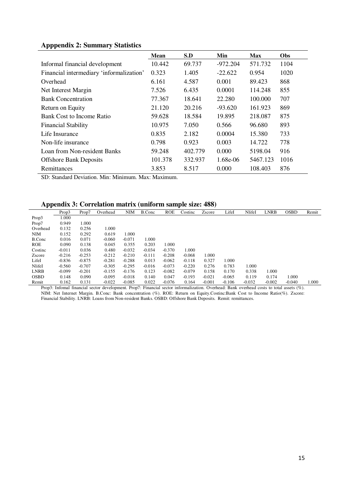# **Apppendix 2: Summary Statistics**

|                                          | <b>Mean</b> | S.D     | Min        | <b>Max</b> | Obs  |
|------------------------------------------|-------------|---------|------------|------------|------|
| Informal financial development           | 10.442      | 69.737  | $-972.204$ | 571.732    | 1104 |
| Financial intermediary 'informalization' | 0.323       | 1.405   | $-22.622$  | 0.954      | 1020 |
| Overhead                                 | 6.161       | 4.587   | 0.001      | 89.423     | 868  |
| Net Interest Margin                      | 7.526       | 6.435   | 0.0001     | 114.248    | 855  |
| <b>Bank Concentration</b>                | 77.367      | 18.641  | 22.280     | 100.000    | 707  |
| Return on Equity                         | 21.120      | 20.216  | $-93.620$  | 161.923    | 869  |
| <b>Bank Cost to Income Ratio</b>         | 59.628      | 18.584  | 19.895     | 218.087    | 875  |
| <b>Financial Stability</b>               | 10.975      | 7.050   | 0.566      | 96.680     | 893  |
| Life Insurance                           | 0.835       | 2.182   | 0.0004     | 15.380     | 733  |
| Non-life insurance                       | 0.798       | 0.923   | 0.003      | 14.722     | 778  |
| Loan from Non-resident Banks             | 59.248      | 402.779 | 0.000      | 5198.04    | 916  |
| <b>Offshore Bank Deposits</b>            | 101.378     | 332.937 | $1.68e-06$ | 5467.123   | 1016 |
| Remittances                              | 3.853       | 8.517   | 0.000      | 108.403    | 876  |

SD: Standard Deviation. Min: Minimum. Max: Maximum.

# **Appendix 3: Correlation matrix (uniform sample size: 488)**

|             | Prop3    | Prop7    | Overhead | <b>NIM</b> | B.Conc   | <b>ROE</b> | Costinc  | Zscore   | LifeI    | NlifeI   | LNRB     | <b>OSBD</b> | Remit |
|-------------|----------|----------|----------|------------|----------|------------|----------|----------|----------|----------|----------|-------------|-------|
| Prop3       | 1.000    |          |          |            |          |            |          |          |          |          |          |             |       |
| Prop7       | 0.949    | 1.000    |          |            |          |            |          |          |          |          |          |             |       |
| Overhead    | 0.132    | 0.256    | 1.000    |            |          |            |          |          |          |          |          |             |       |
| <b>NIM</b>  | 0.152    | 0.292    | 0.619    | 1.000      |          |            |          |          |          |          |          |             |       |
| B.Conc      | 0.016    | 0.071    | $-0.060$ | $-0.071$   | 1.000    |            |          |          |          |          |          |             |       |
| <b>ROE</b>  | 0.090    | 0.138    | 0.045    | 0.355      | 0.203    | 1.000      |          |          |          |          |          |             |       |
| Costine     | $-0.011$ | 0.036    | 0.480    | $-0.032$   | $-0.034$ | $-0.370$   | 1.000    |          |          |          |          |             |       |
| Zscore      | $-0.216$ | $-0.253$ | $-0.212$ | $-0.210$   | $-0.111$ | $-0.208$   | $-0.068$ | 1.000    |          |          |          |             |       |
| LifeI       | $-0.836$ | $-0.875$ | $-0.281$ | $-0.288$   | 0.013    | $-0.062$   | $-0.118$ | 0.327    | 1.000    |          |          |             |       |
| NlifeI      | $-0.560$ | $-0.707$ | $-0.305$ | $-0.295$   | $-0.016$ | $-0.073$   | $-0.220$ | 0.276    | 0.783    | 1.000    |          |             |       |
| <b>LNRB</b> | $-0.099$ | $-0.201$ | $-0.155$ | $-0.176$   | 0.123    | $-0.082$   | $-0.079$ | 0.158    | 0.170    | 0.338    | 1.000    |             |       |
| <b>OSBD</b> | 0.148    | 0.090    | $-0.095$ | $-0.018$   | 0.140    | 0.047      | $-0.193$ | $-0.021$ | $-0.065$ | 0.119    | 0.174    | 1.000       |       |
| Remit       | 0.162    | 0.131    | $-0.022$ | $-0.085$   | 0.022    | $-0.076$   | 0.164    | $-0.001$ | $-0.106$ | $-0.032$ | $-0.002$ | $-0.040$    | 1.000 |

Prop3: Infomal financial sector development. Prop7: Financial sector informalization. Overhead: Bank overhead costs to total assets (%). NIM: Net Internet Margin. B.Conc: Bank concentration (%). ROE: Return on Equity.Costinc:Bank Cost to Income Ratio(%). Zscore: Financial Stability. LNRB: Loans from Non-resident Banks. OSBD: Offshore Bank Deposits. Remit: remittances.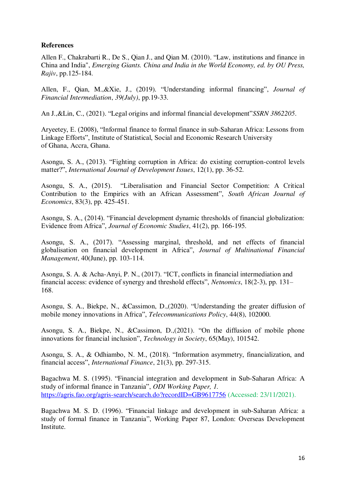### **References**

Allen F., Chakrabarti R., De S., Qian J., and Qian M. (2010). "Law, institutions and finance in China and India", *Emerging Giants. China and India in the World Economy, ed. by OU Press, Rajiv*, pp.125-184.

Allen, F., Qian, M.,&Xie, J., (2019). "Understanding informal financing", *Journal of Financial Intermediation*, *39(July)*, pp.19-33.

An J.,&Lin, C., (2021). "Legal origins and informal financial development"*SSRN 3862205*.

Aryeetey, E. (2008), "Informal finance to formal finance in sub-Saharan Africa: Lessons from Linkage Efforts", Institute of Statistical, Social and Economic Research University of Ghana, Accra, Ghana.

Asongu, S. A., (2013). "Fighting corruption in Africa: do existing corruption-control levels matter?", *International Journal of Development Issues*, 12(1), pp. 36-52.

Asongu, S. A., (2015). "Liberalisation and Financial Sector Competition: A Critical Contribution to the Empirics with an African Assessment", *South African Journal of Economics*, 83(3), pp. 425-451.

Asongu, S. A., (2014). "Financial development dynamic thresholds of financial globalization: Evidence from Africa", *Journal of Economic Studies*, 41(2), pp. 166-195.

Asongu, S. A., (2017). "Assessing marginal, threshold, and net effects of financial globalisation on financial development in Africa", *Journal of Multinational Financial Management*, 40(June), pp. 103-114.

Asongu, S. A. & Acha-Anyi, P. N., (2017). "ICT, conflicts in financial intermediation and financial access: evidence of synergy and threshold effects", *Netnomics*, 18(2-3), pp. 131– 168.

Asongu, S. A., Biekpe, N., &Cassimon, D.,(2020). "Understanding the greater diffusion of mobile money innovations in Africa", *Telecommunications Policy*, 44(8), 102000.

Asongu, S. A., Biekpe, N., &Cassimon, D.,(2021). "On the diffusion of mobile phone innovations for financial inclusion", *Technology in Society*, 65(May), 101542.

Asongu, S. A., & Odhiambo, N. M., (2018). "Information asymmetry, financialization, and financial access", *International Finance*, 21(3), pp. 297-315.

Bagachwa M. S. (1995). "Financial integration and development in Sub-Saharan Africa: A study of informal finance in Tanzania", *ODI Working Paper, 1.*  <https://agris.fao.org/agris-search/search.do?recordID=GB9617756>(Accessed: 23/11/2021).

Bagachwa M. S. D. (1996). "Financial linkage and development in sub-Saharan Africa: a study of formal finance in Tanzania", Working Paper 87, London: Overseas Development Institute.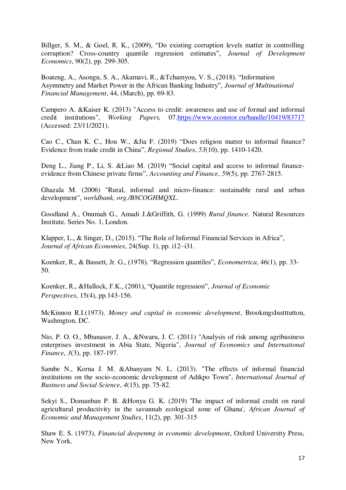Billger, S. M., & Goel, R. K., (2009), "Do existing corruption levels matter in controlling corruption? Cross-country quantile regression estimates", *Journal of Development Economics*, 90(2), pp. 299-305.

Boateng, A., Asongu, S. A., Akamavi, R., &Tchamyou, V. S., (2018). "Information Asymmetry and Market Power in the African Banking Industry", *Journal of Multinational Financial Management*, 44, (March), pp. 69-83.

Campero A. &Kaiser K. (2013) "Access to credit: awareness and use of formal and informal credit institutions", *Working Papers,* 07[.https://www.econstor.eu/handle/10419/83717](https://www.econstor.eu/handle/10419/83717) (Accessed: 23/11/2021).

Cao C., Chan K. C., Hou W., &Jia F. (2019) "Does religion matter to informal finance? Evidence from trade credit in China", *Regional Studies*, *53*(10), pp. 1410-1420.

Deng L., Jiang P., Li, S. &Liao M. (2019) "Social capital and access to informal financeevidence from Chinese private firms", *Accounting and Finance*, *59*(5), pp. 2767-2815.

Ghazala M. (2006) "Rural, informal and micro-finance: sustainable rural and urban development", *worldbank, org./B8COGHMQXL*.

Goodland A., Onumah G., Amadi J.&Griffith, G. (1999) *Rural finance*. Natural Resources Institute. Series No. 1, London.

Klapper, L., & Singer, D., (2015). "The Role of Informal Financial Services in Africa", *Journal of African Economies*, 24(Sup. 1), pp. i12–i31.

Koenker, R., & Bassett, Jr. G., (1978). "Regression quantiles", *Econometrica*, 46(1), pp. 33- 50.

Koenker, R., &Hallock, F.K., (2001), "Quantile regression", *Journal of Economic Perspectives*, 15(4), pp.143-156.

McKinnon R.I.(1973). *Money and capital in economic development*, BrookmgsInstttutton, Washmgton, DC.

Nto, P. O. O., Mbanasor, J. A., &Nwaru, J. C. (2011) "Analysis of risk among agribusiness enterprises investment in Abia State, Nigeria", *Journal of Economics and International Finance*, *3*(3), pp. 187-197.

Sambe N., Korna J. M. &Abanyam N. L. (2013). "The effects of informal financial institutions on the socio-economic development of Adikpo Town", *International Journal of Business and Social Science*, *4*(15), pp. 75-82.

Sekyi S., Domanban P. B. &Honya G. K. (2019) 'The impact of informal credit on rural agricultural productivity in the savannah ecological zone of Ghana', *African Journal of Economic and Management Studies*, 11(2), pp. 301-315

Shaw E. S. (1973), *Financial deepenmg in economic development*, Oxford Universtty Press, New York.